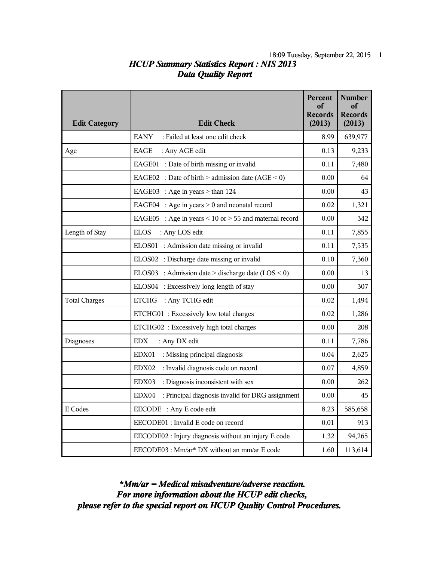## *HCUP Summary Statistics Report : NIS 2013* 18:09 Tuesday, September 22, 2015 **1** *Data Quality Report*

|                      |                                                               | Percent<br>оf<br><b>Records</b> | <b>Number</b><br>of<br><b>Records</b> |
|----------------------|---------------------------------------------------------------|---------------------------------|---------------------------------------|
| <b>Edit Category</b> | <b>Edit Check</b>                                             | (2013)                          | (2013)                                |
|                      | <b>EANY</b><br>: Failed at least one edit check               | 8.99                            | 639,977                               |
| Age                  | EAGE<br>: Any AGE edit                                        | 0.13                            | 9,233                                 |
|                      | EAGE01 : Date of birth missing or invalid                     | 0.11                            | 7,480                                 |
|                      | EAGE02 : Date of birth > admission date $(AGE < 0)$           | 0.00                            | 64                                    |
|                      | EAGE03 : Age in years $>$ than 124                            | 0.00                            | 43                                    |
|                      | EAGE04 : Age in years $> 0$ and neonatal record               | 0.02                            | 1,321                                 |
|                      | EAGE05 : Age in years $\leq 10$ or $> 55$ and maternal record | 0.00                            | 342                                   |
| Length of Stay       | <b>ELOS</b><br>: Any LOS edit                                 | 0.11                            | 7,855                                 |
|                      | ELOS01 : Admission date missing or invalid                    | 0.11                            | 7,535                                 |
|                      | ELOS02 : Discharge date missing or invalid                    | 0.10                            | 7,360                                 |
|                      | ELOS03 : Admission date > discharge date $(LOS < 0)$          | 0.00                            | 13                                    |
|                      | ELOS04 : Excessively long length of stay                      | 0.00                            | 307                                   |
| <b>Total Charges</b> | <b>ETCHG</b><br>: Any TCHG edit                               | 0.02                            | 1,494                                 |
|                      | ETCHG01: Excessively low total charges                        | 0.02                            | 1,286                                 |
|                      | ETCHG02: Excessively high total charges                       | 0.00                            | 208                                   |
| <b>Diagnoses</b>     | <b>EDX</b><br>: Any DX edit                                   | 0.11                            | 7,786                                 |
|                      | : Missing principal diagnosis<br>EDX01                        | 0.04                            | 2,625                                 |
|                      | : Invalid diagnosis code on record<br>EDX02                   | 0.07                            | 4,859                                 |
|                      | EDX03<br>: Diagnosis inconsistent with sex                    | 0.00                            | 262                                   |
|                      | : Principal diagnosis invalid for DRG assignment<br>EDX04     | 0.00                            | 45                                    |
| E Codes              | EECODE : Any E code edit                                      | 8.23                            | 585,658                               |
|                      | EECODE01 : Invalid E code on record                           | 0.01                            | 913                                   |
|                      | EECODE02 : Injury diagnosis without an injury E code          | 1.32                            | 94,265                                |
|                      | EECODE03 : Mm/ar* DX without an mm/ar E code                  | 1.60                            | 113,614                               |

*please refer to the special report on HCUP Quality Control Procedures. For more information about the HCUP edit checks, \*Mm/ar = Medical misadventure/adverse reaction.*